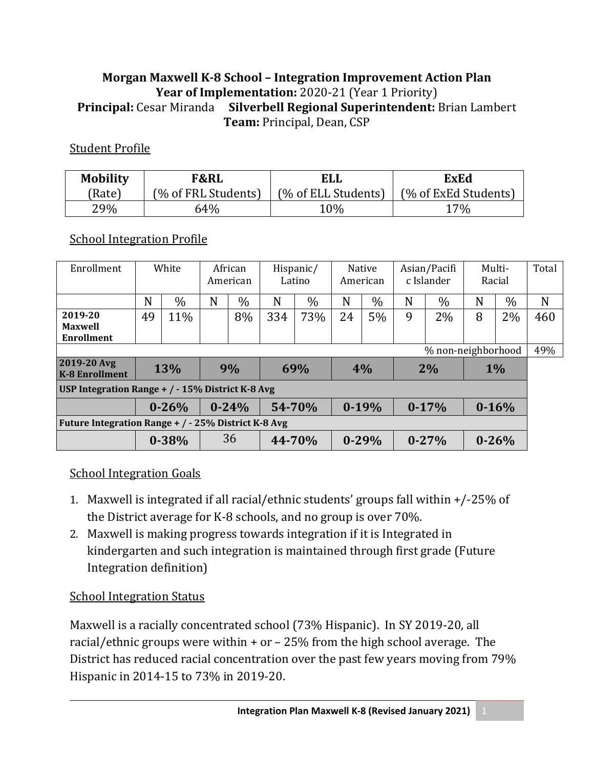#### **Morgan Maxwell K‐8 School – Integration Improvement Action Plan Year of Implementation:** 2020-21 (Year 1 Priority) **Principal:** Cesar Miranda **Silverbell Regional Superintendent:** Brian Lambert **Team:** Principal, Dean, CSP

#### Student Profile

| <b>Mobility</b> | <b>F&amp;RL</b>     | <b>ELL</b>          | <b>ExEd</b>          |  |  |  |
|-----------------|---------------------|---------------------|----------------------|--|--|--|
| (Rate)          | (% of FRL Students) | (% of ELL Students) | (% of ExEd Students) |  |  |  |
| 29%             | 64%                 | 10%                 | $7\%$                |  |  |  |

#### School Integration Profile

| Enrollment                                           | White      |           | African<br>American |           | Hispanic/<br>Latino |      | <b>Native</b><br>American |           | Asian/Pacifi<br>c Islander |           | Multi-<br>Racial |      | Total |
|------------------------------------------------------|------------|-----------|---------------------|-----------|---------------------|------|---------------------------|-----------|----------------------------|-----------|------------------|------|-------|
|                                                      | N          | $\%$      | N                   | $\%$      | N                   | $\%$ | N                         | $\%$      | N                          | $\%$      | N                | $\%$ | N     |
| 2019-20<br><b>Maxwell</b><br><b>Enrollment</b>       | 49         | 11%       |                     | 8%        | 334                 | 73%  | 24                        | 5%        | 9                          | 2%        | 8                | 2%   | 460   |
| % non-neighborhood                                   |            |           |                     |           |                     |      |                           |           |                            |           |                  |      | 49%   |
| 2019-20 Avg<br><b>K-8 Enrollment</b>                 | <b>13%</b> |           |                     | 69%<br>9% |                     |      | 4%                        |           | 2%                         |           | $1\%$            |      |       |
| USP Integration Range $+$ / $-$ 15% District K-8 Avg |            |           |                     |           |                     |      |                           |           |                            |           |                  |      |       |
|                                                      |            | $0 - 26%$ | $0 - 24%$           |           | 54-70%              |      | $0-19%$                   |           | $0-17%$                    |           | $0 - 16%$        |      |       |
| Future Integration Range + / - 25% District K-8 Avg  |            |           |                     |           |                     |      |                           |           |                            |           |                  |      |       |
|                                                      |            | $0 - 38%$ |                     | 36        | 44-70%              |      |                           | $0 - 29%$ |                            | $0 - 27%$ | $0 - 26%$        |      |       |

#### School Integration Goals

- 1. Maxwell is integrated if all racial/ethnic students' groups fall within +/-25% of the District average for K-8 schools, and no group is over 70%.
- 2. Maxwell is making progress towards integration if it is Integrated in kindergarten and such integration is maintained through first grade (Future Integration definition)

#### School Integration Status

Maxwell is a racially concentrated school (73% Hispanic). In SY 2019-20, all racial/ethnic groups were within + or – 25% from the high school average. The District has reduced racial concentration over the past few years moving from 79% Hispanic in 2014-15 to 73% in 2019-20.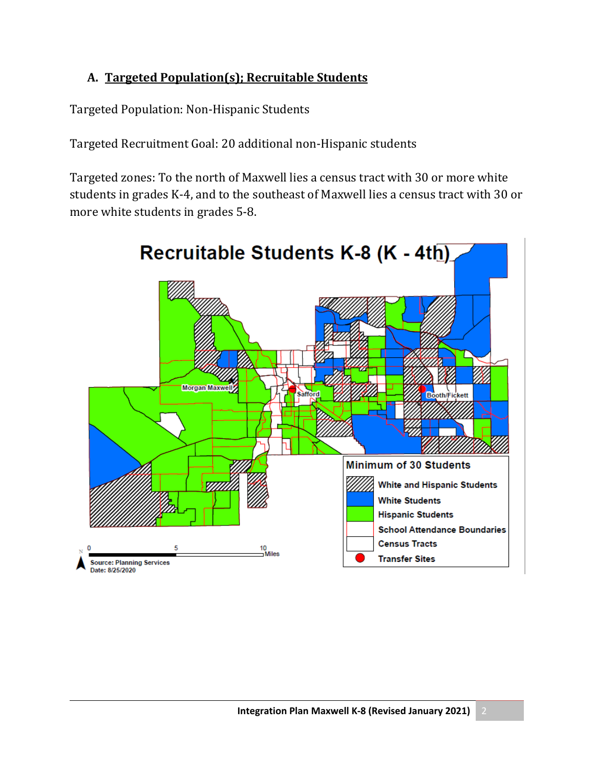### **A. Targeted Population(s); Recruitable Students**

Targeted Population: Non-Hispanic Students

Targeted Recruitment Goal: 20 additional non-Hispanic students

Targeted zones: To the north of Maxwell lies a census tract with 30 or more white students in grades K-4, and to the southeast of Maxwell lies a census tract with 30 or more white students in grades 5-8.

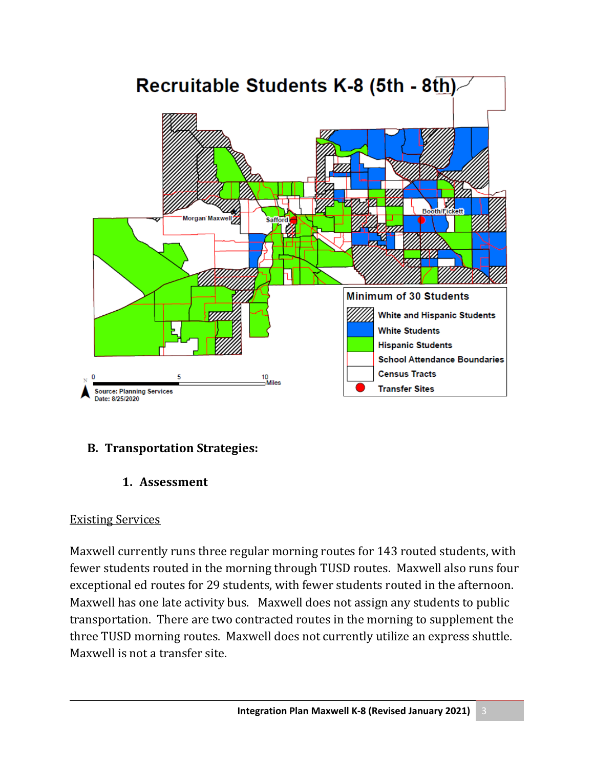

### **B. Transportation Strategies:**

1. Assessment

### Existing Services

Maxwell currently runs three regular morning routes for 143 routed students, with fewer students routed in the morning through TUSD routes. Maxwell also runs four exceptional ed routes for 29 students, with fewer students routed in the afternoon. Maxwell has one late activity bus. Maxwell does not assign any students to public transportation. There are two contracted routes in the morning to supplement the three TUSD morning routes. Maxwell does not currently utilize an express shuttle. Maxwell is not a transfer site.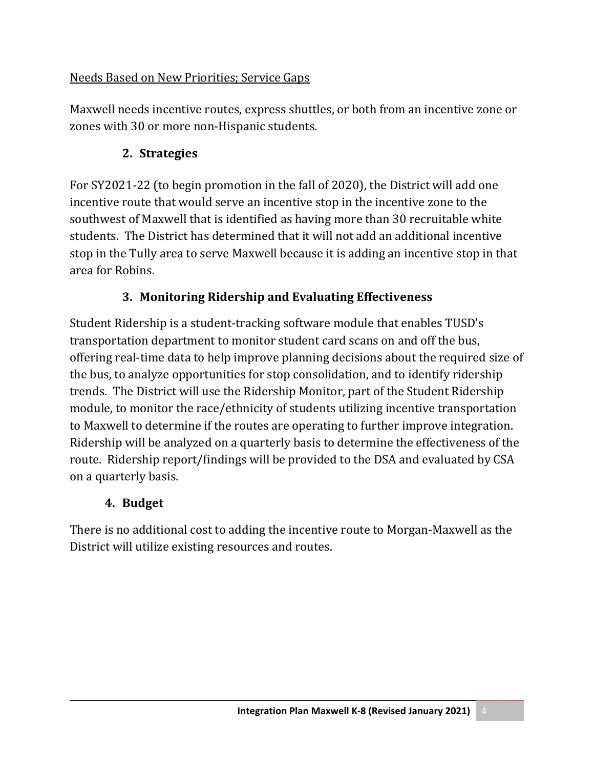### Needs Based on New Priorities; Service Gaps

Maxwell needs incentive routes, express shuttles, or both from an incentive zone or zones with 30 or more non-Hispanic students.

### **2. Strategies**

For SY2021-22 (to begin promotion in the fall of 2020), the District will add one incentive route that would serve an incentive stop in the incentive zone to the southwest of Maxwell that is identified as having more than 30 recruitable white students. The District has determined that it will not add an additional incentive stop in the Tully area to serve Maxwell because it is adding an incentive stop in that area for Robins.

## **3. Monitoring Ridership and Evaluating Effectiveness**

Student Ridership is a student-tracking software module that enables TUSD's transportation department to monitor student card scans on and off the bus, offering real-time data to help improve planning decisions about the required size of the bus, to analyze opportunities for stop consolidation, and to identify ridership trends. The District will use the Ridership Monitor, part of the Student Ridership module, to monitor the race/ethnicity of students utilizing incentive transportation to Maxwell to determine if the routes are operating to further improve integration. Ridership will be analyzed on a quarterly basis to determine the effectiveness of the route. Ridership report/findings will be provided to the DSA and evaluated by CSA on a quarterly basis.

### **4. Budget**

There is no additional cost to adding the incentive route to Morgan-Maxwell as the District will utilize existing resources and routes.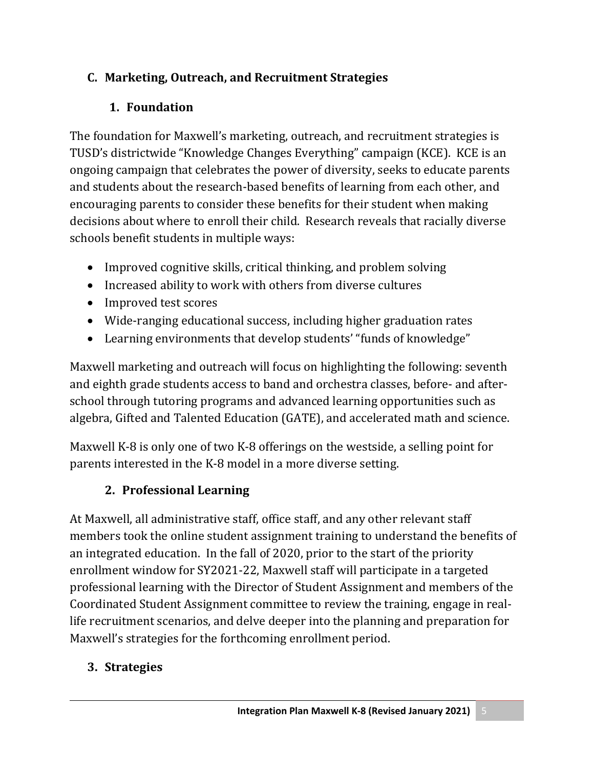## **C. Marketing, Outreach, and Recruitment Strategies**

# **1. Foundation**

The foundation for Maxwell's marketing, outreach, and recruitment strategies is TUSD's districtwide "Knowledge Changes Everything" campaign (KCE). KCE is an ongoing campaign that celebrates the power of diversity, seeks to educate parents and students about the research-based benefits of learning from each other, and encouraging parents to consider these benefits for their student when making decisions about where to enroll their child. Research reveals that racially diverse schools benefit students in multiple ways:

- Improved cognitive skills, critical thinking, and problem solving
- Increased ability to work with others from diverse cultures
- Improved test scores
- Wide-ranging educational success, including higher graduation rates
- Learning environments that develop students' "funds of knowledge"

Maxwell marketing and outreach will focus on highlighting the following: seventh and eighth grade students access to band and orchestra classes, before- and afterschool through tutoring programs and advanced learning opportunities such as algebra, Gifted and Talented Education (GATE), and accelerated math and science.

Maxwell K-8 is only one of two K-8 offerings on the westside, a selling point for parents interested in the K-8 model in a more diverse setting.

# **2. Professional Learning**

At Maxwell, all administrative staff, office staff, and any other relevant staff members took the online student assignment training to understand the benefits of an integrated education. In the fall of 2020, prior to the start of the priority enrollment window for SY2021-22, Maxwell staff will participate in a targeted professional learning with the Director of Student Assignment and members of the Coordinated Student Assignment committee to review the training, engage in reallife recruitment scenarios, and delve deeper into the planning and preparation for Maxwell's strategies for the forthcoming enrollment period.

# **3. Strategies**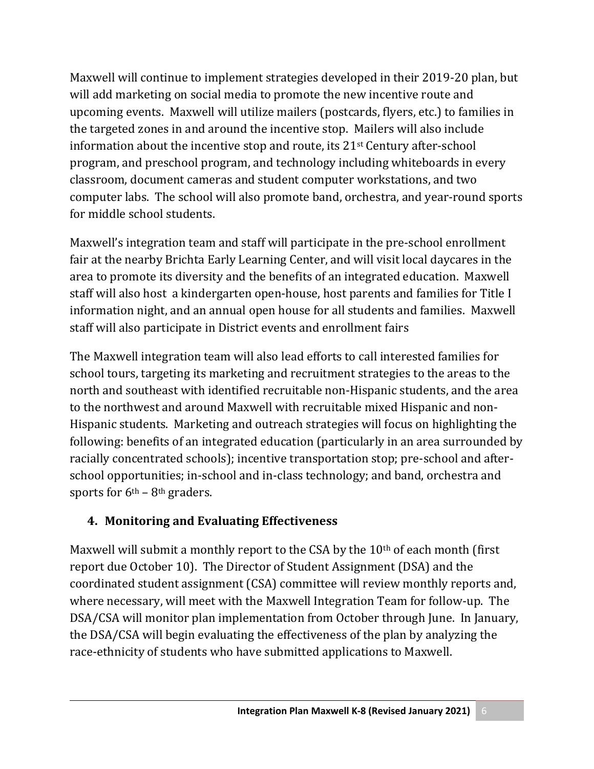Maxwell will continue to implement strategies developed in their 2019-20 plan, but will add marketing on social media to promote the new incentive route and upcoming events. Maxwell will utilize mailers (postcards, flyers, etc.) to families in the targeted zones in and around the incentive stop. Mailers will also include information about the incentive stop and route, its 21st Century after-school program, and preschool program, and technology including whiteboards in every classroom, document cameras and student computer workstations, and two computer labs. The school will also promote band, orchestra, and year-round sports for middle school students.

Maxwell's integration team and staff will participate in the pre-school enrollment fair at the nearby Brichta Early Learning Center, and will visit local daycares in the area to promote its diversity and the benefits of an integrated education. Maxwell staff will also host a kindergarten open-house, host parents and families for Title I information night, and an annual open house for all students and families. Maxwell staff will also participate in District events and enrollment fairs

The Maxwell integration team will also lead efforts to call interested families for school tours, targeting its marketing and recruitment strategies to the areas to the north and southeast with identified recruitable non-Hispanic students, and the area to the northwest and around Maxwell with recruitable mixed Hispanic and non-Hispanic students. Marketing and outreach strategies will focus on highlighting the following: benefits of an integrated education (particularly in an area surrounded by racially concentrated schools); incentive transportation stop; pre-school and afterschool opportunities; in-school and in-class technology; and band, orchestra and sports for  $6<sup>th</sup> - 8<sup>th</sup>$  graders.

## **4. Monitoring and Evaluating Effectiveness**

Maxwell will submit a monthly report to the CSA by the  $10<sup>th</sup>$  of each month (first report due October 10). The Director of Student Assignment (DSA) and the coordinated student assignment (CSA) committee will review monthly reports and, where necessary, will meet with the Maxwell Integration Team for follow-up. The DSA/CSA will monitor plan implementation from October through June. In January, the DSA/CSA will begin evaluating the effectiveness of the plan by analyzing the race-ethnicity of students who have submitted applications to Maxwell.